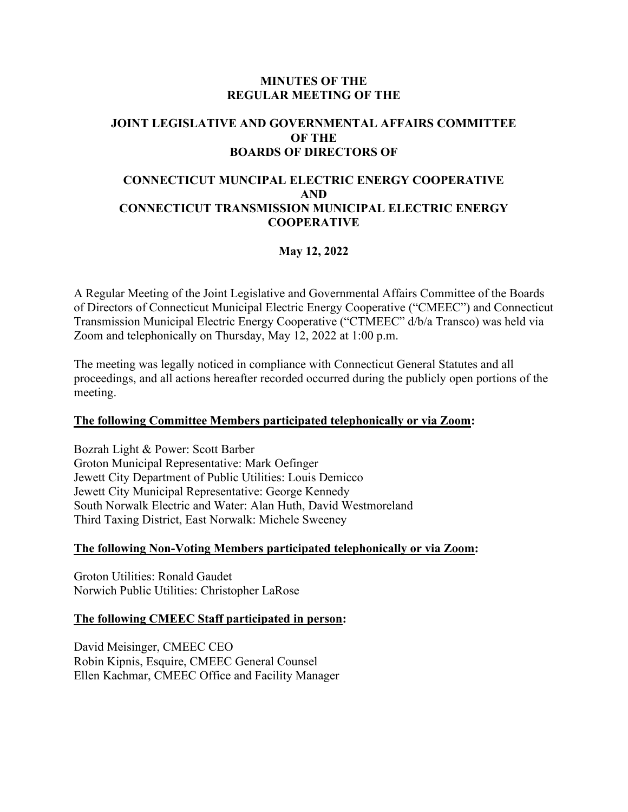### **MINUTES OF THE REGULAR MEETING OF THE**

# **JOINT LEGISLATIVE AND GOVERNMENTAL AFFAIRS COMMITTEE OF THE BOARDS OF DIRECTORS OF**

#### **CONNECTICUT MUNCIPAL ELECTRIC ENERGY COOPERATIVE AND CONNECTICUT TRANSMISSION MUNICIPAL ELECTRIC ENERGY COOPERATIVE**

## **May 12, 2022**

A Regular Meeting of the Joint Legislative and Governmental Affairs Committee of the Boards of Directors of Connecticut Municipal Electric Energy Cooperative ("CMEEC") and Connecticut Transmission Municipal Electric Energy Cooperative ("CTMEEC" d/b/a Transco) was held via Zoom and telephonically on Thursday, May 12, 2022 at 1:00 p.m.

The meeting was legally noticed in compliance with Connecticut General Statutes and all proceedings, and all actions hereafter recorded occurred during the publicly open portions of the meeting.

#### **The following Committee Members participated telephonically or via Zoom:**

Bozrah Light & Power: Scott Barber Groton Municipal Representative: Mark Oefinger Jewett City Department of Public Utilities: Louis Demicco Jewett City Municipal Representative: George Kennedy South Norwalk Electric and Water: Alan Huth, David Westmoreland Third Taxing District, East Norwalk: Michele Sweeney

#### **The following Non-Voting Members participated telephonically or via Zoom:**

Groton Utilities: Ronald Gaudet Norwich Public Utilities: Christopher LaRose

#### **The following CMEEC Staff participated in person:**

David Meisinger, CMEEC CEO Robin Kipnis, Esquire, CMEEC General Counsel Ellen Kachmar, CMEEC Office and Facility Manager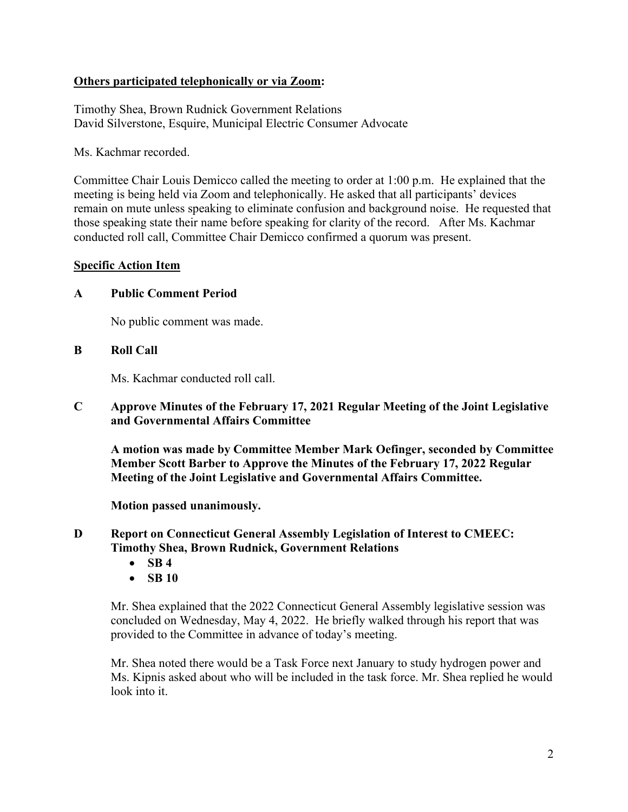### **Others participated telephonically or via Zoom:**

Timothy Shea, Brown Rudnick Government Relations David Silverstone, Esquire, Municipal Electric Consumer Advocate

Ms. Kachmar recorded.

Committee Chair Louis Demicco called the meeting to order at 1:00 p.m. He explained that the meeting is being held via Zoom and telephonically. He asked that all participants' devices remain on mute unless speaking to eliminate confusion and background noise. He requested that those speaking state their name before speaking for clarity of the record. After Ms. Kachmar conducted roll call, Committee Chair Demicco confirmed a quorum was present.

### **Specific Action Item**

### **A Public Comment Period**

No public comment was made.

### **B Roll Call**

Ms. Kachmar conducted roll call.

**C Approve Minutes of the February 17, 2021 Regular Meeting of the Joint Legislative and Governmental Affairs Committee** 

**A motion was made by Committee Member Mark Oefinger, seconded by Committee Member Scott Barber to Approve the Minutes of the February 17, 2022 Regular Meeting of the Joint Legislative and Governmental Affairs Committee.** 

**Motion passed unanimously.**

**D Report on Connecticut General Assembly Legislation of Interest to CMEEC: Timothy Shea, Brown Rudnick, Government Relations** 

- **SB 4**
- **SB 10**

Mr. Shea explained that the 2022 Connecticut General Assembly legislative session was concluded on Wednesday, May 4, 2022. He briefly walked through his report that was provided to the Committee in advance of today's meeting.

Mr. Shea noted there would be a Task Force next January to study hydrogen power and Ms. Kipnis asked about who will be included in the task force. Mr. Shea replied he would look into it.